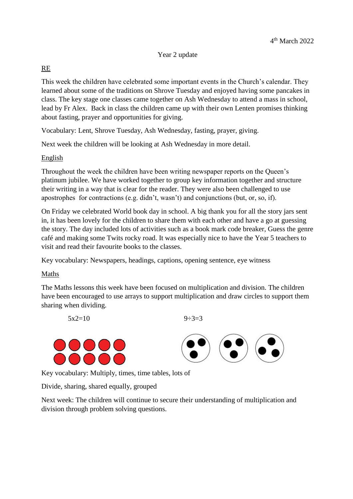### Year 2 update

# RE

This week the children have celebrated some important events in the Church's calendar. They learned about some of the traditions on Shrove Tuesday and enjoyed having some pancakes in class. The key stage one classes came together on Ash Wednesday to attend a mass in school, lead by Fr Alex. Back in class the children came up with their own Lenten promises thinking about fasting, prayer and opportunities for giving.

Vocabulary: Lent, Shrove Tuesday, Ash Wednesday, fasting, prayer, giving.

Next week the children will be looking at Ash Wednesday in more detail.

## English

Throughout the week the children have been writing newspaper reports on the Queen's platinum jubilee. We have worked together to group key information together and structure their writing in a way that is clear for the reader. They were also been challenged to use apostrophes for contractions (e.g. didn't, wasn't) and conjunctions (but, or, so, if).

On Friday we celebrated World book day in school. A big thank you for all the story jars sent in, it has been lovely for the children to share them with each other and have a go at guessing the story. The day included lots of activities such as a book mark code breaker, Guess the genre café and making some Twits rocky road. It was especially nice to have the Year 5 teachers to visit and read their favourite books to the classes.

Key vocabulary: Newspapers, headings, captions, opening sentence, eye witness

## Maths

The Maths lessons this week have been focused on multiplication and division. The children have been encouraged to use arrays to support multiplication and draw circles to support them sharing when dividing.

 $5x2=10$   $9-3=3$ 



Key vocabulary: Multiply, times, time tables, lots of

Divide, sharing, shared equally, grouped

Next week: The children will continue to secure their understanding of multiplication and division through problem solving questions.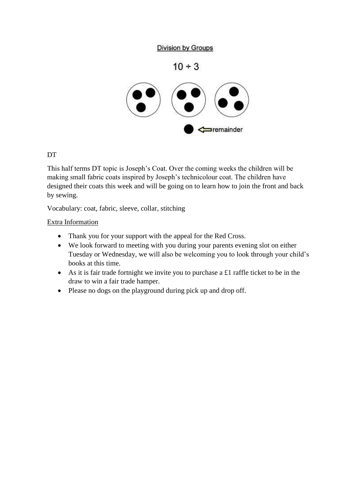## **Division by Groups**

 $10 \div 3$ 



# DT

This half terms DT topic is Joseph's Coat. Over the coming weeks the children will be making small fabric coats inspired by Joseph's technicolour coat. The children have designed their coats this week and will be going on to learn how to join the front and back by sewing.

Vocabulary: coat, fabric, sleeve, collar, stitching

### Extra Information

- Thank you for your support with the appeal for the Red Cross.
- We look forward to meeting with you during your parents evening slot on either Tuesday or Wednesday, we will also be welcoming you to look through your child's books at this time.
- As it is fair trade fortnight we invite you to purchase a £1 raffle ticket to be in the draw to win a fair trade hamper.
- Please no dogs on the playground during pick up and drop off.